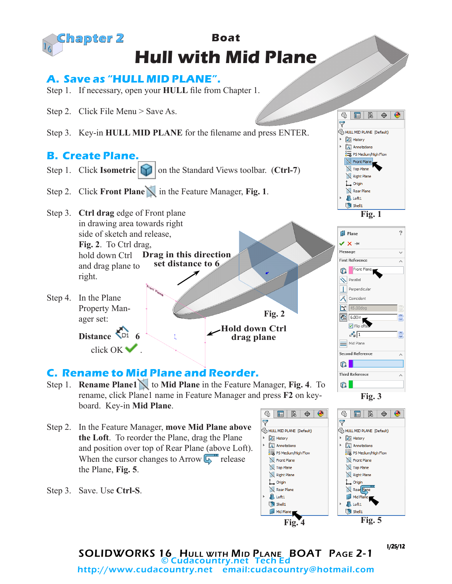

Step 3. Save. Use **Ctrl-S**.



 $\sqrt{2}$  Loft1

Shell 1

Mid Plane

**Fig. 4 Fig. 5**

Mid Plane

 $\bigcup$  Loft1

Shell1

1/25/12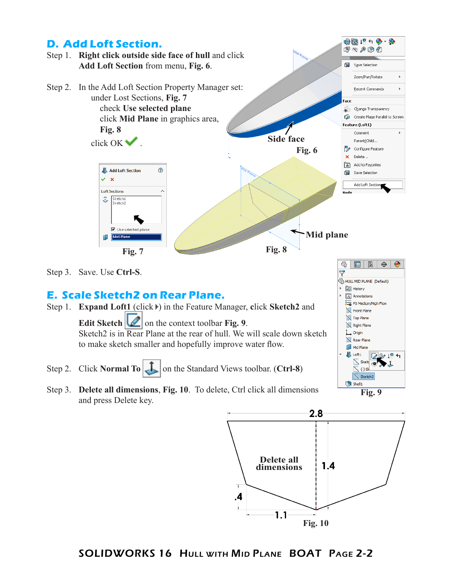



SOLIDWORKS 16 Hull with Mid Plane BOAT Page 2-2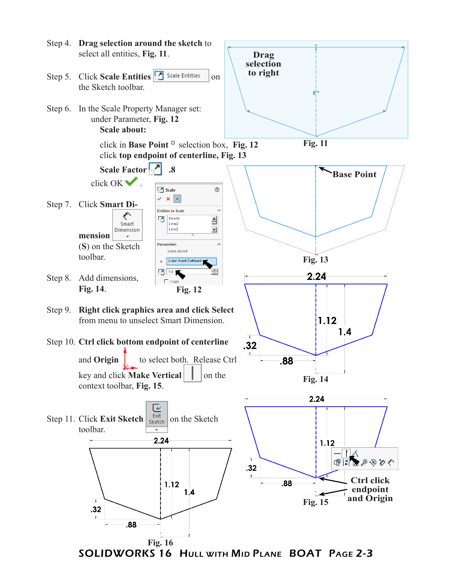

SOLIDWORKS 16 Hull with Mid Plane BOAT Page 2-3